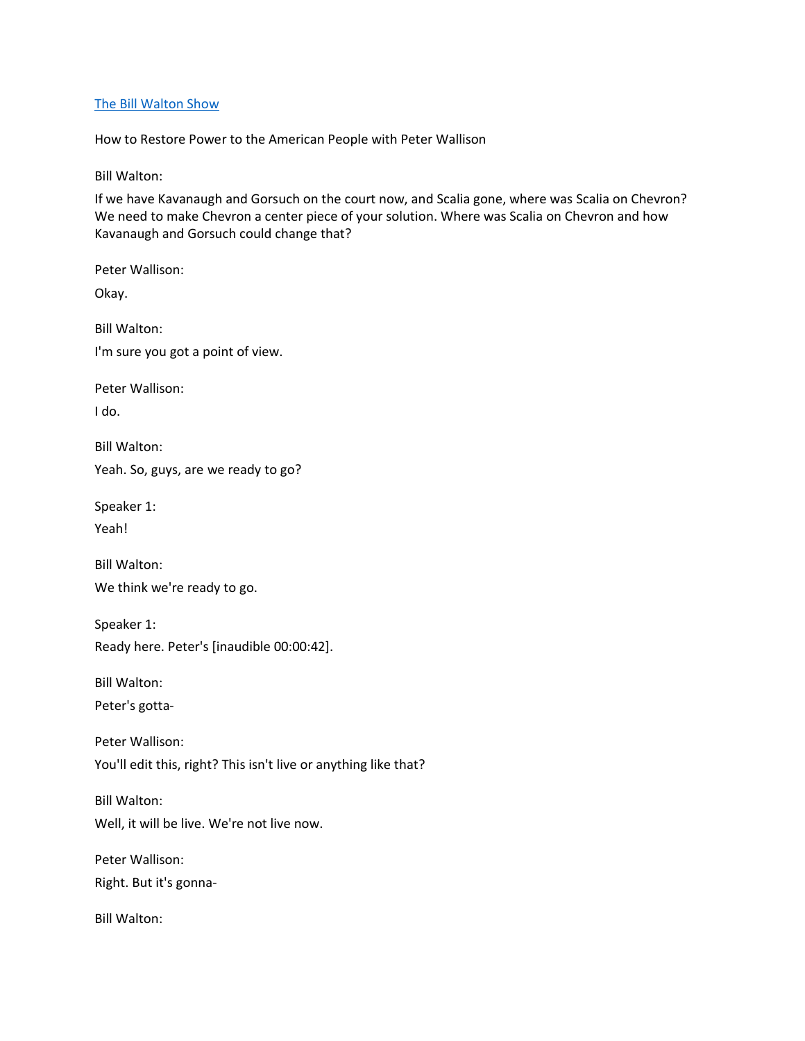### [The Bill Walton Show](https://thebillwaltonshow.com/)

How to Restore Power to the American People with Peter Wallison

Bill Walton:

If we have Kavanaugh and Gorsuch on the court now, and Scalia gone, where was Scalia on Chevron? We need to make Chevron a center piece of your solution. Where was Scalia on Chevron and how Kavanaugh and Gorsuch could change that?

Peter Wallison: Okay. Bill Walton: I'm sure you got a point of view. Peter Wallison: I do. Bill Walton: Yeah. So, guys, are we ready to go? Speaker 1: Yeah! Bill Walton: We think we're ready to go. Speaker 1: Ready here. Peter's [inaudible 00:00:42]. Bill Walton: Peter's gotta-Peter Wallison: You'll edit this, right? This isn't live or anything like that? Bill Walton: Well, it will be live. We're not live now. Peter Wallison: Right. But it's gonna-Bill Walton: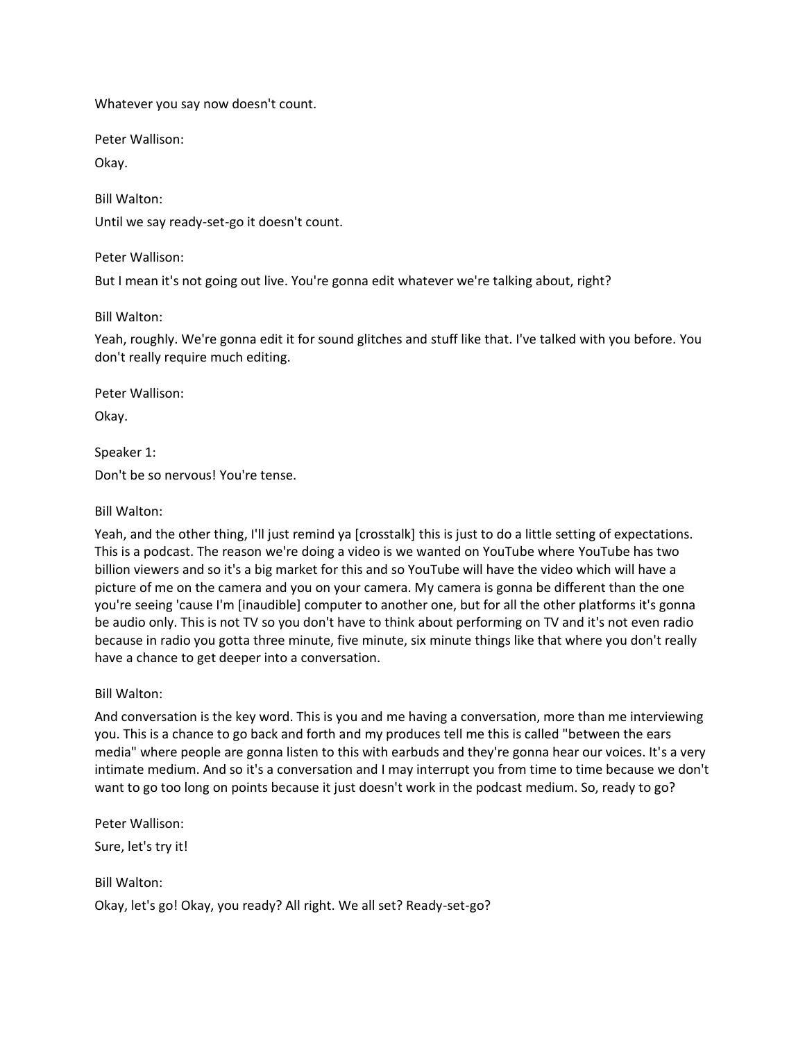Whatever you say now doesn't count.

Peter Wallison:

Okay.

Bill Walton:

Until we say ready-set-go it doesn't count.

Peter Wallison:

But I mean it's not going out live. You're gonna edit whatever we're talking about, right?

Bill Walton:

Yeah, roughly. We're gonna edit it for sound glitches and stuff like that. I've talked with you before. You don't really require much editing.

Peter Wallison:

Okay.

Speaker 1:

Don't be so nervous! You're tense.

#### Bill Walton:

Yeah, and the other thing, I'll just remind ya [crosstalk] this is just to do a little setting of expectations. This is a podcast. The reason we're doing a video is we wanted on YouTube where YouTube has two billion viewers and so it's a big market for this and so YouTube will have the video which will have a picture of me on the camera and you on your camera. My camera is gonna be different than the one you're seeing 'cause I'm [inaudible] computer to another one, but for all the other platforms it's gonna be audio only. This is not TV so you don't have to think about performing on TV and it's not even radio because in radio you gotta three minute, five minute, six minute things like that where you don't really have a chance to get deeper into a conversation.

### Bill Walton:

And conversation is the key word. This is you and me having a conversation, more than me interviewing you. This is a chance to go back and forth and my produces tell me this is called "between the ears media" where people are gonna listen to this with earbuds and they're gonna hear our voices. It's a very intimate medium. And so it's a conversation and I may interrupt you from time to time because we don't want to go too long on points because it just doesn't work in the podcast medium. So, ready to go?

Peter Wallison: Sure, let's try it!

Bill Walton: Okay, let's go! Okay, you ready? All right. We all set? Ready-set-go?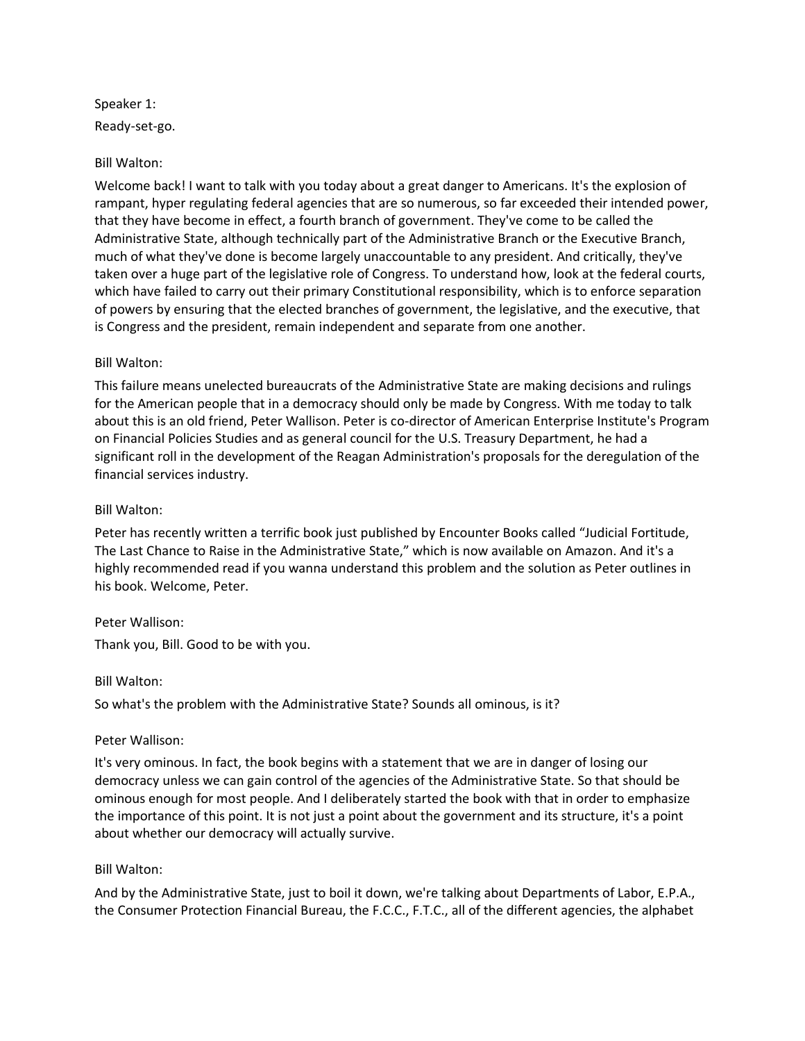Speaker 1: Ready-set-go.

### Bill Walton:

Welcome back! I want to talk with you today about a great danger to Americans. It's the explosion of rampant, hyper regulating federal agencies that are so numerous, so far exceeded their intended power, that they have become in effect, a fourth branch of government. They've come to be called the Administrative State, although technically part of the Administrative Branch or the Executive Branch, much of what they've done is become largely unaccountable to any president. And critically, they've taken over a huge part of the legislative role of Congress. To understand how, look at the federal courts, which have failed to carry out their primary Constitutional responsibility, which is to enforce separation of powers by ensuring that the elected branches of government, the legislative, and the executive, that is Congress and the president, remain independent and separate from one another.

#### Bill Walton:

This failure means unelected bureaucrats of the Administrative State are making decisions and rulings for the American people that in a democracy should only be made by Congress. With me today to talk about this is an old friend, Peter Wallison. Peter is co-director of American Enterprise Institute's Program on Financial Policies Studies and as general council for the U.S. Treasury Department, he had a significant roll in the development of the Reagan Administration's proposals for the deregulation of the financial services industry.

#### Bill Walton:

Peter has recently written a terrific book just published by Encounter Books called "Judicial Fortitude, The Last Chance to Raise in the Administrative State," which is now available on Amazon. And it's a highly recommended read if you wanna understand this problem and the solution as Peter outlines in his book. Welcome, Peter.

#### Peter Wallison:

Thank you, Bill. Good to be with you.

#### Bill Walton:

So what's the problem with the Administrative State? Sounds all ominous, is it?

#### Peter Wallison:

It's very ominous. In fact, the book begins with a statement that we are in danger of losing our democracy unless we can gain control of the agencies of the Administrative State. So that should be ominous enough for most people. And I deliberately started the book with that in order to emphasize the importance of this point. It is not just a point about the government and its structure, it's a point about whether our democracy will actually survive.

#### Bill Walton:

And by the Administrative State, just to boil it down, we're talking about Departments of Labor, E.P.A., the Consumer Protection Financial Bureau, the F.C.C., F.T.C., all of the different agencies, the alphabet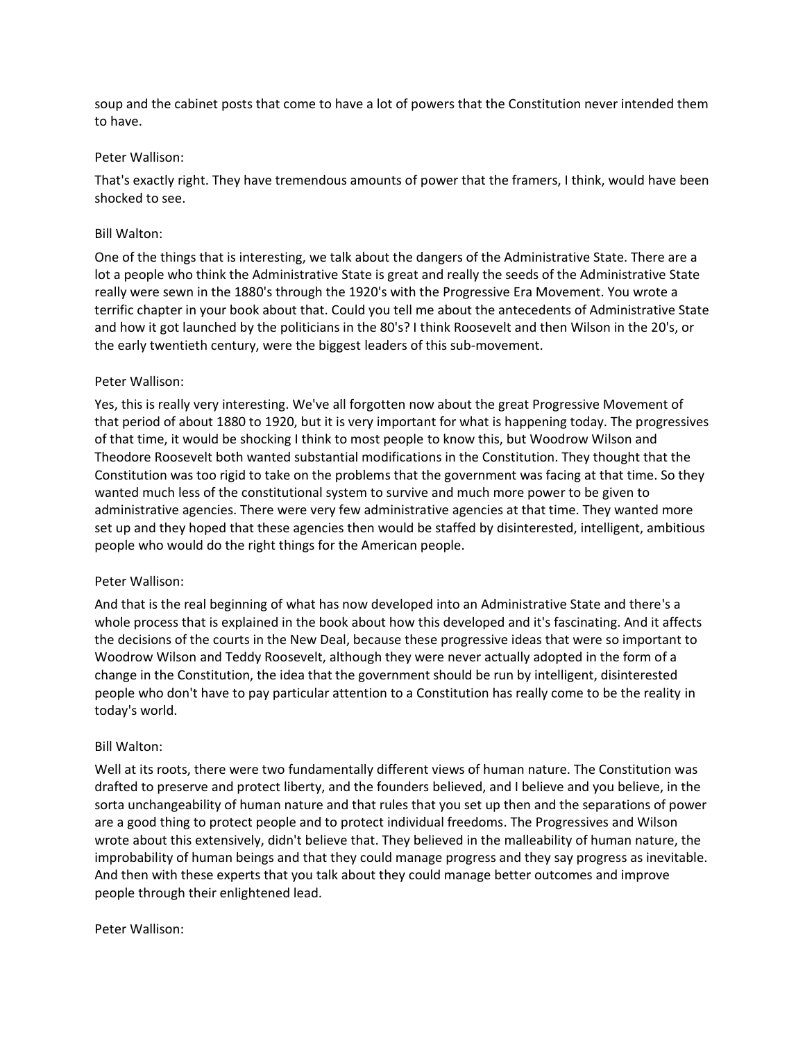soup and the cabinet posts that come to have a lot of powers that the Constitution never intended them to have.

#### Peter Wallison:

That's exactly right. They have tremendous amounts of power that the framers, I think, would have been shocked to see.

### Bill Walton:

One of the things that is interesting, we talk about the dangers of the Administrative State. There are a lot a people who think the Administrative State is great and really the seeds of the Administrative State really were sewn in the 1880's through the 1920's with the Progressive Era Movement. You wrote a terrific chapter in your book about that. Could you tell me about the antecedents of Administrative State and how it got launched by the politicians in the 80's? I think Roosevelt and then Wilson in the 20's, or the early twentieth century, were the biggest leaders of this sub-movement.

### Peter Wallison:

Yes, this is really very interesting. We've all forgotten now about the great Progressive Movement of that period of about 1880 to 1920, but it is very important for what is happening today. The progressives of that time, it would be shocking I think to most people to know this, but Woodrow Wilson and Theodore Roosevelt both wanted substantial modifications in the Constitution. They thought that the Constitution was too rigid to take on the problems that the government was facing at that time. So they wanted much less of the constitutional system to survive and much more power to be given to administrative agencies. There were very few administrative agencies at that time. They wanted more set up and they hoped that these agencies then would be staffed by disinterested, intelligent, ambitious people who would do the right things for the American people.

### Peter Wallison:

And that is the real beginning of what has now developed into an Administrative State and there's a whole process that is explained in the book about how this developed and it's fascinating. And it affects the decisions of the courts in the New Deal, because these progressive ideas that were so important to Woodrow Wilson and Teddy Roosevelt, although they were never actually adopted in the form of a change in the Constitution, the idea that the government should be run by intelligent, disinterested people who don't have to pay particular attention to a Constitution has really come to be the reality in today's world.

### Bill Walton:

Well at its roots, there were two fundamentally different views of human nature. The Constitution was drafted to preserve and protect liberty, and the founders believed, and I believe and you believe, in the sorta unchangeability of human nature and that rules that you set up then and the separations of power are a good thing to protect people and to protect individual freedoms. The Progressives and Wilson wrote about this extensively, didn't believe that. They believed in the malleability of human nature, the improbability of human beings and that they could manage progress and they say progress as inevitable. And then with these experts that you talk about they could manage better outcomes and improve people through their enlightened lead.

### Peter Wallison: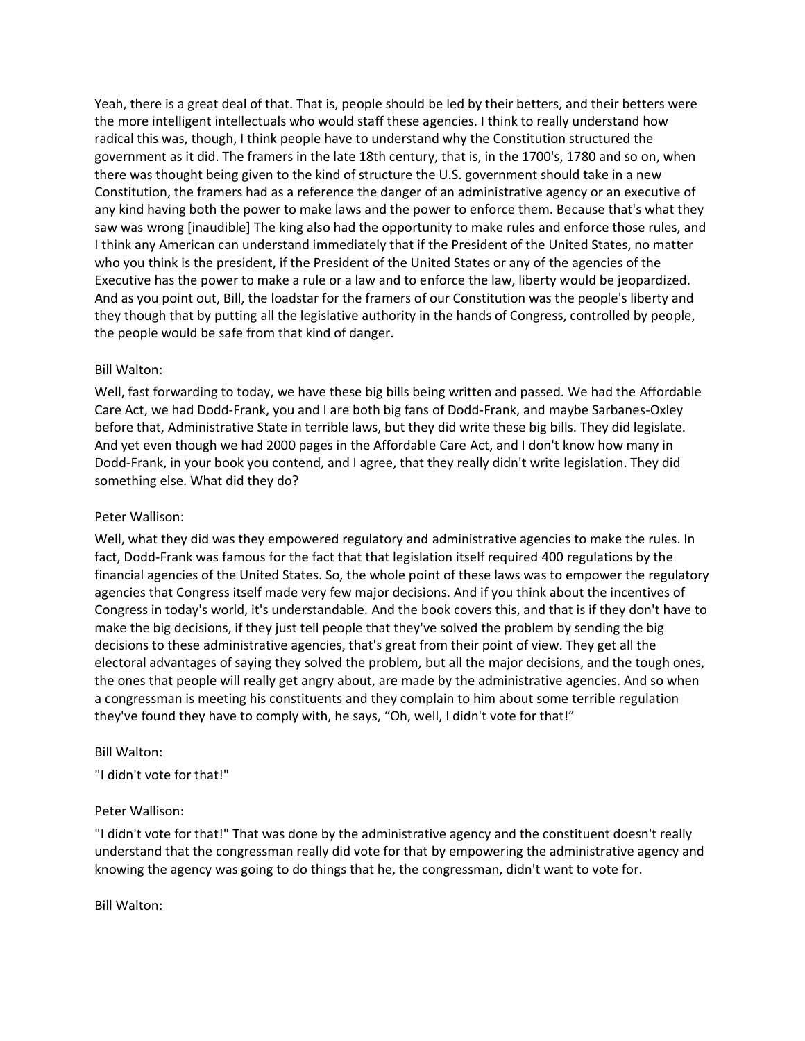Yeah, there is a great deal of that. That is, people should be led by their betters, and their betters were the more intelligent intellectuals who would staff these agencies. I think to really understand how radical this was, though, I think people have to understand why the Constitution structured the government as it did. The framers in the late 18th century, that is, in the 1700's, 1780 and so on, when there was thought being given to the kind of structure the U.S. government should take in a new Constitution, the framers had as a reference the danger of an administrative agency or an executive of any kind having both the power to make laws and the power to enforce them. Because that's what they saw was wrong [inaudible] The king also had the opportunity to make rules and enforce those rules, and I think any American can understand immediately that if the President of the United States, no matter who you think is the president, if the President of the United States or any of the agencies of the Executive has the power to make a rule or a law and to enforce the law, liberty would be jeopardized. And as you point out, Bill, the loadstar for the framers of our Constitution was the people's liberty and they though that by putting all the legislative authority in the hands of Congress, controlled by people, the people would be safe from that kind of danger.

### Bill Walton:

Well, fast forwarding to today, we have these big bills being written and passed. We had the Affordable Care Act, we had Dodd-Frank, you and I are both big fans of Dodd-Frank, and maybe Sarbanes-Oxley before that, Administrative State in terrible laws, but they did write these big bills. They did legislate. And yet even though we had 2000 pages in the Affordable Care Act, and I don't know how many in Dodd-Frank, in your book you contend, and I agree, that they really didn't write legislation. They did something else. What did they do?

### Peter Wallison:

Well, what they did was they empowered regulatory and administrative agencies to make the rules. In fact, Dodd-Frank was famous for the fact that that legislation itself required 400 regulations by the financial agencies of the United States. So, the whole point of these laws was to empower the regulatory agencies that Congress itself made very few major decisions. And if you think about the incentives of Congress in today's world, it's understandable. And the book covers this, and that is if they don't have to make the big decisions, if they just tell people that they've solved the problem by sending the big decisions to these administrative agencies, that's great from their point of view. They get all the electoral advantages of saying they solved the problem, but all the major decisions, and the tough ones, the ones that people will really get angry about, are made by the administrative agencies. And so when a congressman is meeting his constituents and they complain to him about some terrible regulation they've found they have to comply with, he says, "Oh, well, I didn't vote for that!"

#### Bill Walton:

"I didn't vote for that!"

### Peter Wallison:

"I didn't vote for that!" That was done by the administrative agency and the constituent doesn't really understand that the congressman really did vote for that by empowering the administrative agency and knowing the agency was going to do things that he, the congressman, didn't want to vote for.

Bill Walton: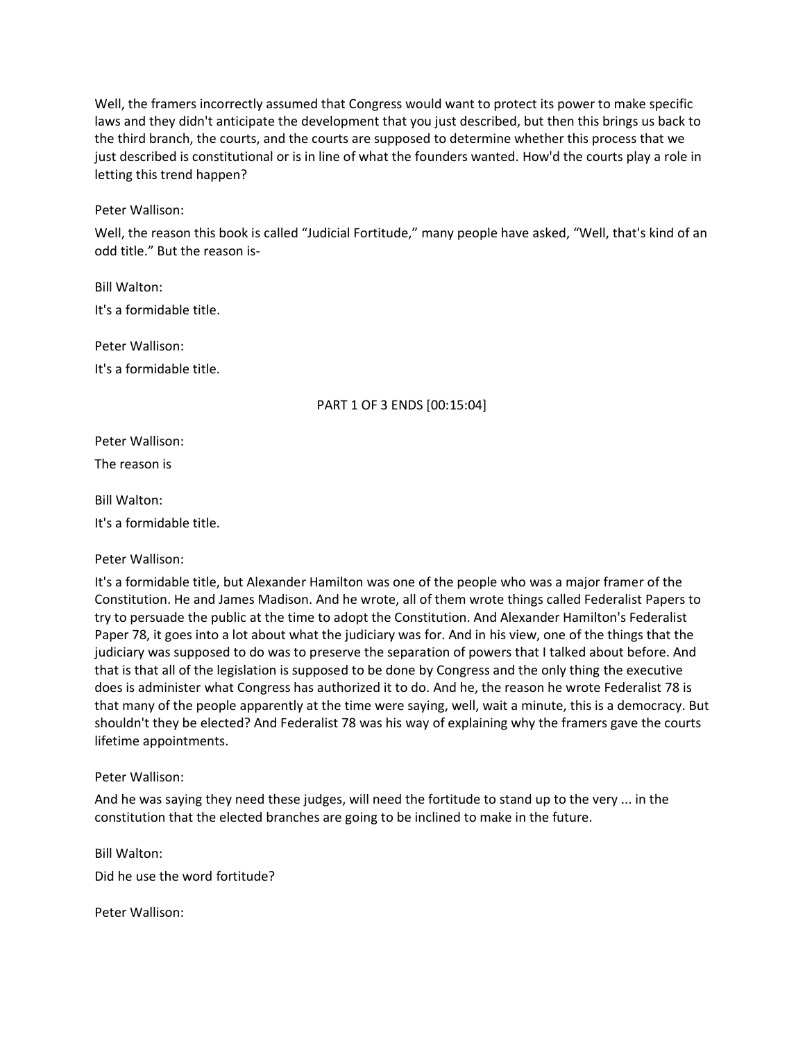Well, the framers incorrectly assumed that Congress would want to protect its power to make specific laws and they didn't anticipate the development that you just described, but then this brings us back to the third branch, the courts, and the courts are supposed to determine whether this process that we just described is constitutional or is in line of what the founders wanted. How'd the courts play a role in letting this trend happen?

Peter Wallison:

Well, the reason this book is called "Judicial Fortitude," many people have asked, "Well, that's kind of an odd title." But the reason is-

Bill Walton: It's a formidable title.

Peter Wallison: It's a formidable title.

### PART 1 OF 3 ENDS [00:15:04]

Peter Wallison: The reason is

Bill Walton:

It's a formidable title.

Peter Wallison:

It's a formidable title, but Alexander Hamilton was one of the people who was a major framer of the Constitution. He and James Madison. And he wrote, all of them wrote things called Federalist Papers to try to persuade the public at the time to adopt the Constitution. And Alexander Hamilton's Federalist Paper 78, it goes into a lot about what the judiciary was for. And in his view, one of the things that the judiciary was supposed to do was to preserve the separation of powers that I talked about before. And that is that all of the legislation is supposed to be done by Congress and the only thing the executive does is administer what Congress has authorized it to do. And he, the reason he wrote Federalist 78 is that many of the people apparently at the time were saying, well, wait a minute, this is a democracy. But shouldn't they be elected? And Federalist 78 was his way of explaining why the framers gave the courts lifetime appointments.

Peter Wallison:

And he was saying they need these judges, will need the fortitude to stand up to the very ... in the constitution that the elected branches are going to be inclined to make in the future.

Bill Walton: Did he use the word fortitude?

Peter Wallison: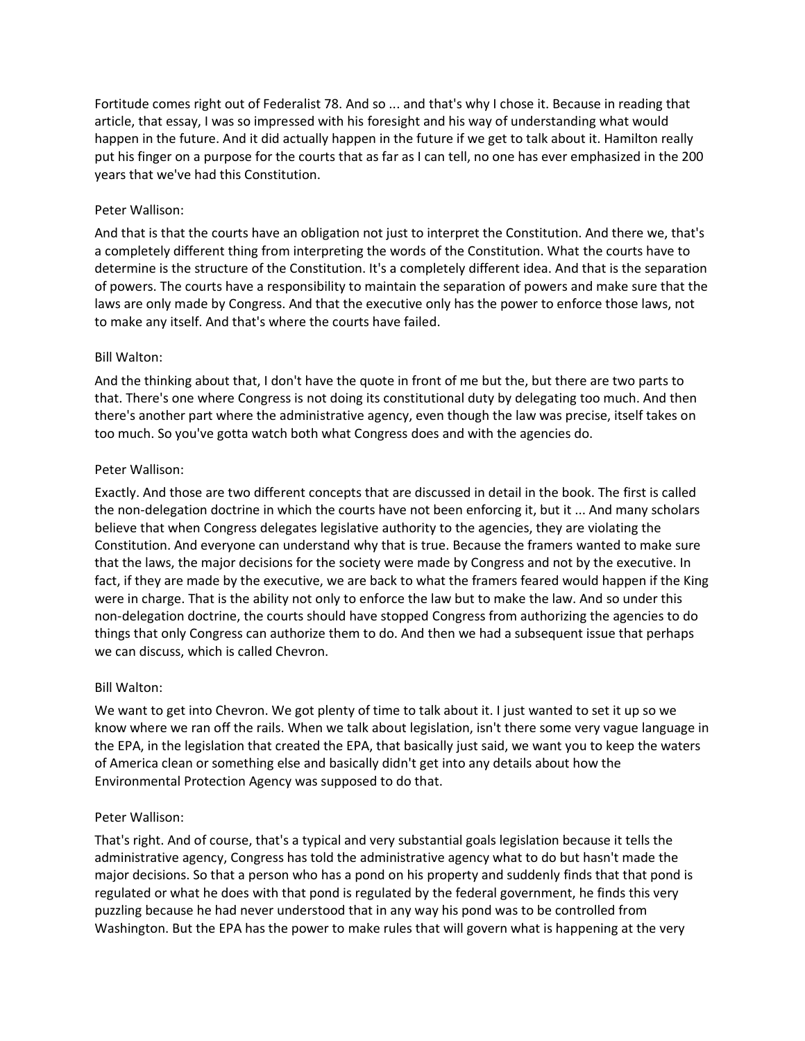Fortitude comes right out of Federalist 78. And so ... and that's why I chose it. Because in reading that article, that essay, I was so impressed with his foresight and his way of understanding what would happen in the future. And it did actually happen in the future if we get to talk about it. Hamilton really put his finger on a purpose for the courts that as far as I can tell, no one has ever emphasized in the 200 years that we've had this Constitution.

### Peter Wallison:

And that is that the courts have an obligation not just to interpret the Constitution. And there we, that's a completely different thing from interpreting the words of the Constitution. What the courts have to determine is the structure of the Constitution. It's a completely different idea. And that is the separation of powers. The courts have a responsibility to maintain the separation of powers and make sure that the laws are only made by Congress. And that the executive only has the power to enforce those laws, not to make any itself. And that's where the courts have failed.

## Bill Walton:

And the thinking about that, I don't have the quote in front of me but the, but there are two parts to that. There's one where Congress is not doing its constitutional duty by delegating too much. And then there's another part where the administrative agency, even though the law was precise, itself takes on too much. So you've gotta watch both what Congress does and with the agencies do.

## Peter Wallison:

Exactly. And those are two different concepts that are discussed in detail in the book. The first is called the non-delegation doctrine in which the courts have not been enforcing it, but it ... And many scholars believe that when Congress delegates legislative authority to the agencies, they are violating the Constitution. And everyone can understand why that is true. Because the framers wanted to make sure that the laws, the major decisions for the society were made by Congress and not by the executive. In fact, if they are made by the executive, we are back to what the framers feared would happen if the King were in charge. That is the ability not only to enforce the law but to make the law. And so under this non-delegation doctrine, the courts should have stopped Congress from authorizing the agencies to do things that only Congress can authorize them to do. And then we had a subsequent issue that perhaps we can discuss, which is called Chevron.

### Bill Walton:

We want to get into Chevron. We got plenty of time to talk about it. I just wanted to set it up so we know where we ran off the rails. When we talk about legislation, isn't there some very vague language in the EPA, in the legislation that created the EPA, that basically just said, we want you to keep the waters of America clean or something else and basically didn't get into any details about how the Environmental Protection Agency was supposed to do that.

### Peter Wallison:

That's right. And of course, that's a typical and very substantial goals legislation because it tells the administrative agency, Congress has told the administrative agency what to do but hasn't made the major decisions. So that a person who has a pond on his property and suddenly finds that that pond is regulated or what he does with that pond is regulated by the federal government, he finds this very puzzling because he had never understood that in any way his pond was to be controlled from Washington. But the EPA has the power to make rules that will govern what is happening at the very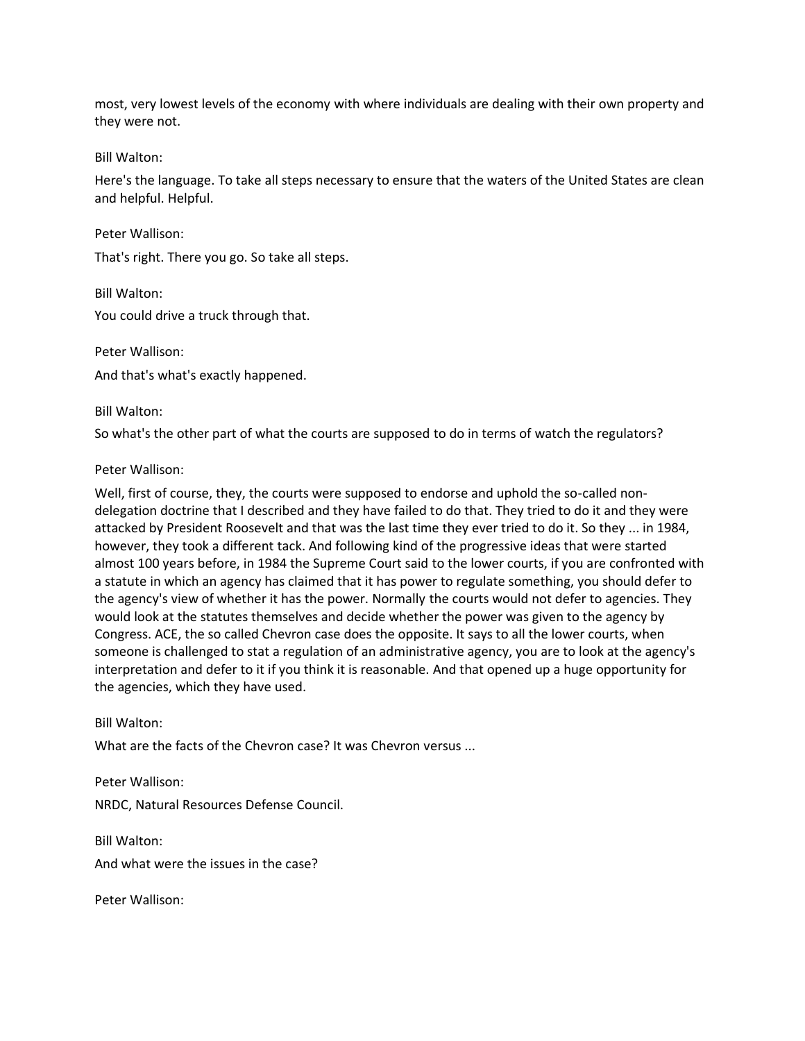most, very lowest levels of the economy with where individuals are dealing with their own property and they were not.

Bill Walton:

Here's the language. To take all steps necessary to ensure that the waters of the United States are clean and helpful. Helpful.

Peter Wallison:

That's right. There you go. So take all steps.

Bill Walton: You could drive a truck through that.

Peter Wallison: And that's what's exactly happened.

Bill Walton:

So what's the other part of what the courts are supposed to do in terms of watch the regulators?

Peter Wallison:

Well, first of course, they, the courts were supposed to endorse and uphold the so-called nondelegation doctrine that I described and they have failed to do that. They tried to do it and they were attacked by President Roosevelt and that was the last time they ever tried to do it. So they ... in 1984, however, they took a different tack. And following kind of the progressive ideas that were started almost 100 years before, in 1984 the Supreme Court said to the lower courts, if you are confronted with a statute in which an agency has claimed that it has power to regulate something, you should defer to the agency's view of whether it has the power. Normally the courts would not defer to agencies. They would look at the statutes themselves and decide whether the power was given to the agency by Congress. ACE, the so called Chevron case does the opposite. It says to all the lower courts, when someone is challenged to stat a regulation of an administrative agency, you are to look at the agency's interpretation and defer to it if you think it is reasonable. And that opened up a huge opportunity for the agencies, which they have used.

Bill Walton:

What are the facts of the Chevron case? It was Chevron versus ...

Peter Wallison: NRDC, Natural Resources Defense Council.

Bill Walton: And what were the issues in the case?

Peter Wallison: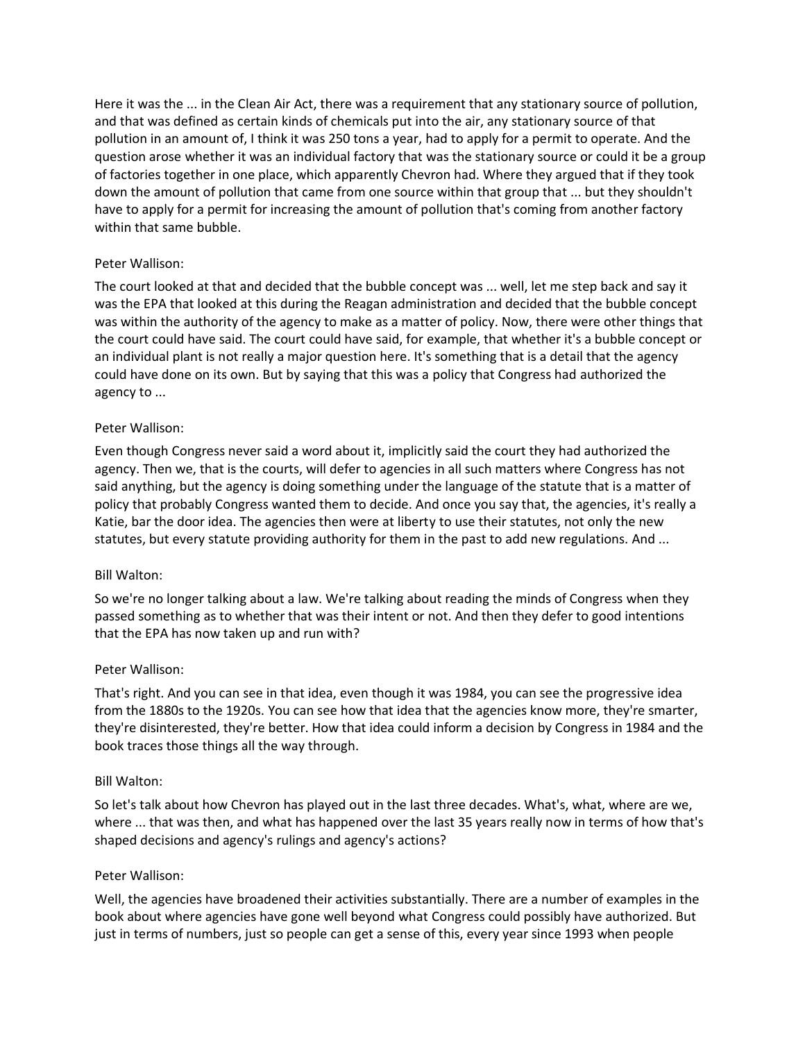Here it was the ... in the Clean Air Act, there was a requirement that any stationary source of pollution, and that was defined as certain kinds of chemicals put into the air, any stationary source of that pollution in an amount of, I think it was 250 tons a year, had to apply for a permit to operate. And the question arose whether it was an individual factory that was the stationary source or could it be a group of factories together in one place, which apparently Chevron had. Where they argued that if they took down the amount of pollution that came from one source within that group that ... but they shouldn't have to apply for a permit for increasing the amount of pollution that's coming from another factory within that same bubble.

### Peter Wallison:

The court looked at that and decided that the bubble concept was ... well, let me step back and say it was the EPA that looked at this during the Reagan administration and decided that the bubble concept was within the authority of the agency to make as a matter of policy. Now, there were other things that the court could have said. The court could have said, for example, that whether it's a bubble concept or an individual plant is not really a major question here. It's something that is a detail that the agency could have done on its own. But by saying that this was a policy that Congress had authorized the agency to ...

### Peter Wallison:

Even though Congress never said a word about it, implicitly said the court they had authorized the agency. Then we, that is the courts, will defer to agencies in all such matters where Congress has not said anything, but the agency is doing something under the language of the statute that is a matter of policy that probably Congress wanted them to decide. And once you say that, the agencies, it's really a Katie, bar the door idea. The agencies then were at liberty to use their statutes, not only the new statutes, but every statute providing authority for them in the past to add new regulations. And ...

#### Bill Walton:

So we're no longer talking about a law. We're talking about reading the minds of Congress when they passed something as to whether that was their intent or not. And then they defer to good intentions that the EPA has now taken up and run with?

#### Peter Wallison:

That's right. And you can see in that idea, even though it was 1984, you can see the progressive idea from the 1880s to the 1920s. You can see how that idea that the agencies know more, they're smarter, they're disinterested, they're better. How that idea could inform a decision by Congress in 1984 and the book traces those things all the way through.

#### Bill Walton:

So let's talk about how Chevron has played out in the last three decades. What's, what, where are we, where ... that was then, and what has happened over the last 35 years really now in terms of how that's shaped decisions and agency's rulings and agency's actions?

#### Peter Wallison:

Well, the agencies have broadened their activities substantially. There are a number of examples in the book about where agencies have gone well beyond what Congress could possibly have authorized. But just in terms of numbers, just so people can get a sense of this, every year since 1993 when people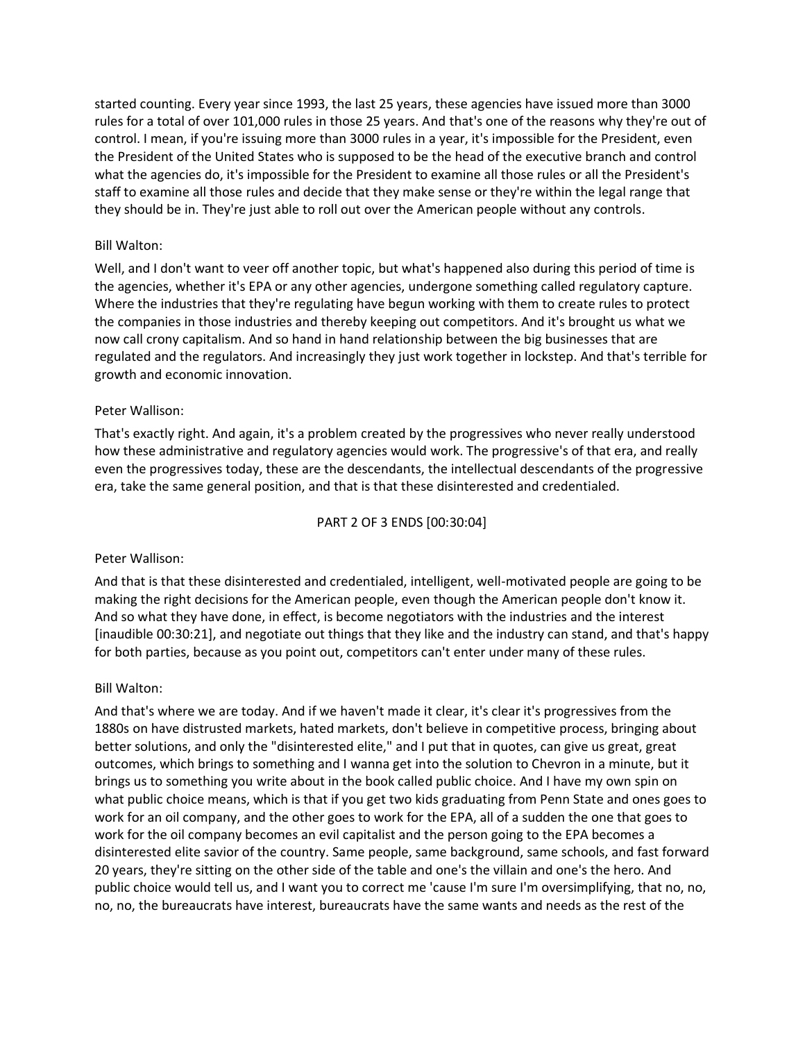started counting. Every year since 1993, the last 25 years, these agencies have issued more than 3000 rules for a total of over 101,000 rules in those 25 years. And that's one of the reasons why they're out of control. I mean, if you're issuing more than 3000 rules in a year, it's impossible for the President, even the President of the United States who is supposed to be the head of the executive branch and control what the agencies do, it's impossible for the President to examine all those rules or all the President's staff to examine all those rules and decide that they make sense or they're within the legal range that they should be in. They're just able to roll out over the American people without any controls.

#### Bill Walton:

Well, and I don't want to veer off another topic, but what's happened also during this period of time is the agencies, whether it's EPA or any other agencies, undergone something called regulatory capture. Where the industries that they're regulating have begun working with them to create rules to protect the companies in those industries and thereby keeping out competitors. And it's brought us what we now call crony capitalism. And so hand in hand relationship between the big businesses that are regulated and the regulators. And increasingly they just work together in lockstep. And that's terrible for growth and economic innovation.

#### Peter Wallison:

That's exactly right. And again, it's a problem created by the progressives who never really understood how these administrative and regulatory agencies would work. The progressive's of that era, and really even the progressives today, these are the descendants, the intellectual descendants of the progressive era, take the same general position, and that is that these disinterested and credentialed.

#### PART 2 OF 3 ENDS [00:30:04]

#### Peter Wallison:

And that is that these disinterested and credentialed, intelligent, well-motivated people are going to be making the right decisions for the American people, even though the American people don't know it. And so what they have done, in effect, is become negotiators with the industries and the interest [inaudible 00:30:21], and negotiate out things that they like and the industry can stand, and that's happy for both parties, because as you point out, competitors can't enter under many of these rules.

#### Bill Walton:

And that's where we are today. And if we haven't made it clear, it's clear it's progressives from the 1880s on have distrusted markets, hated markets, don't believe in competitive process, bringing about better solutions, and only the "disinterested elite," and I put that in quotes, can give us great, great outcomes, which brings to something and I wanna get into the solution to Chevron in a minute, but it brings us to something you write about in the book called public choice. And I have my own spin on what public choice means, which is that if you get two kids graduating from Penn State and ones goes to work for an oil company, and the other goes to work for the EPA, all of a sudden the one that goes to work for the oil company becomes an evil capitalist and the person going to the EPA becomes a disinterested elite savior of the country. Same people, same background, same schools, and fast forward 20 years, they're sitting on the other side of the table and one's the villain and one's the hero. And public choice would tell us, and I want you to correct me 'cause I'm sure I'm oversimplifying, that no, no, no, no, the bureaucrats have interest, bureaucrats have the same wants and needs as the rest of the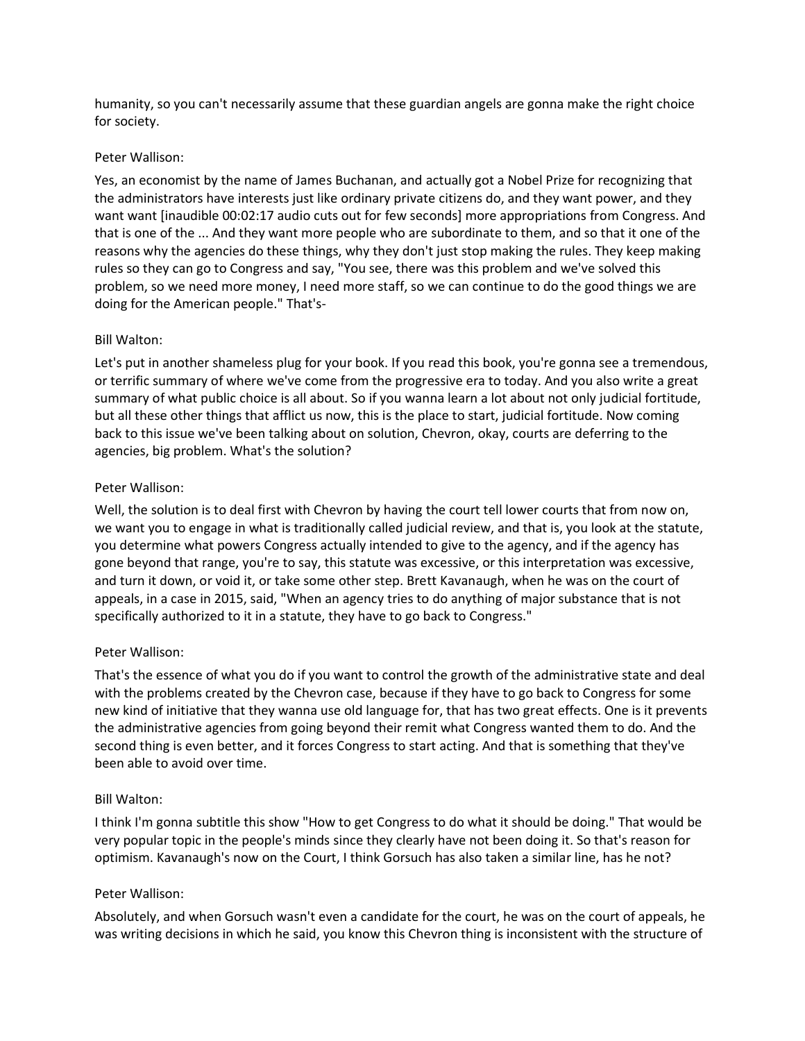humanity, so you can't necessarily assume that these guardian angels are gonna make the right choice for society.

### Peter Wallison:

Yes, an economist by the name of James Buchanan, and actually got a Nobel Prize for recognizing that the administrators have interests just like ordinary private citizens do, and they want power, and they want want [inaudible 00:02:17 audio cuts out for few seconds] more appropriations from Congress. And that is one of the ... And they want more people who are subordinate to them, and so that it one of the reasons why the agencies do these things, why they don't just stop making the rules. They keep making rules so they can go to Congress and say, "You see, there was this problem and we've solved this problem, so we need more money, I need more staff, so we can continue to do the good things we are doing for the American people." That's-

### Bill Walton:

Let's put in another shameless plug for your book. If you read this book, you're gonna see a tremendous, or terrific summary of where we've come from the progressive era to today. And you also write a great summary of what public choice is all about. So if you wanna learn a lot about not only judicial fortitude, but all these other things that afflict us now, this is the place to start, judicial fortitude. Now coming back to this issue we've been talking about on solution, Chevron, okay, courts are deferring to the agencies, big problem. What's the solution?

### Peter Wallison:

Well, the solution is to deal first with Chevron by having the court tell lower courts that from now on, we want you to engage in what is traditionally called judicial review, and that is, you look at the statute, you determine what powers Congress actually intended to give to the agency, and if the agency has gone beyond that range, you're to say, this statute was excessive, or this interpretation was excessive, and turn it down, or void it, or take some other step. Brett Kavanaugh, when he was on the court of appeals, in a case in 2015, said, "When an agency tries to do anything of major substance that is not specifically authorized to it in a statute, they have to go back to Congress."

### Peter Wallison:

That's the essence of what you do if you want to control the growth of the administrative state and deal with the problems created by the Chevron case, because if they have to go back to Congress for some new kind of initiative that they wanna use old language for, that has two great effects. One is it prevents the administrative agencies from going beyond their remit what Congress wanted them to do. And the second thing is even better, and it forces Congress to start acting. And that is something that they've been able to avoid over time.

#### Bill Walton:

I think I'm gonna subtitle this show "How to get Congress to do what it should be doing." That would be very popular topic in the people's minds since they clearly have not been doing it. So that's reason for optimism. Kavanaugh's now on the Court, I think Gorsuch has also taken a similar line, has he not?

### Peter Wallison:

Absolutely, and when Gorsuch wasn't even a candidate for the court, he was on the court of appeals, he was writing decisions in which he said, you know this Chevron thing is inconsistent with the structure of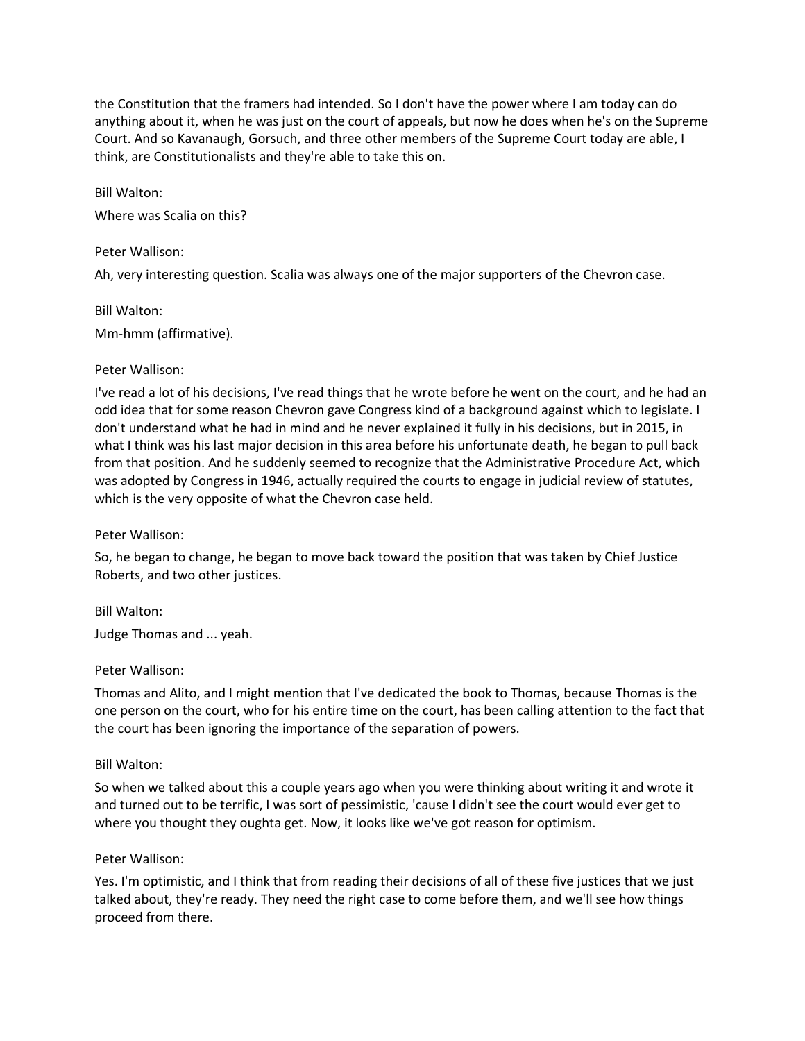the Constitution that the framers had intended. So I don't have the power where I am today can do anything about it, when he was just on the court of appeals, but now he does when he's on the Supreme Court. And so Kavanaugh, Gorsuch, and three other members of the Supreme Court today are able, I think, are Constitutionalists and they're able to take this on.

Bill Walton:

Where was Scalia on this?

#### Peter Wallison:

Ah, very interesting question. Scalia was always one of the major supporters of the Chevron case.

Bill Walton: Mm-hmm (affirmative).

#### Peter Wallison:

I've read a lot of his decisions, I've read things that he wrote before he went on the court, and he had an odd idea that for some reason Chevron gave Congress kind of a background against which to legislate. I don't understand what he had in mind and he never explained it fully in his decisions, but in 2015, in what I think was his last major decision in this area before his unfortunate death, he began to pull back from that position. And he suddenly seemed to recognize that the Administrative Procedure Act, which was adopted by Congress in 1946, actually required the courts to engage in judicial review of statutes, which is the very opposite of what the Chevron case held.

#### Peter Wallison:

So, he began to change, he began to move back toward the position that was taken by Chief Justice Roberts, and two other justices.

Bill Walton: Judge Thomas and ... yeah.

#### Peter Wallison:

Thomas and Alito, and I might mention that I've dedicated the book to Thomas, because Thomas is the one person on the court, who for his entire time on the court, has been calling attention to the fact that the court has been ignoring the importance of the separation of powers.

#### Bill Walton:

So when we talked about this a couple years ago when you were thinking about writing it and wrote it and turned out to be terrific, I was sort of pessimistic, 'cause I didn't see the court would ever get to where you thought they oughta get. Now, it looks like we've got reason for optimism.

#### Peter Wallison:

Yes. I'm optimistic, and I think that from reading their decisions of all of these five justices that we just talked about, they're ready. They need the right case to come before them, and we'll see how things proceed from there.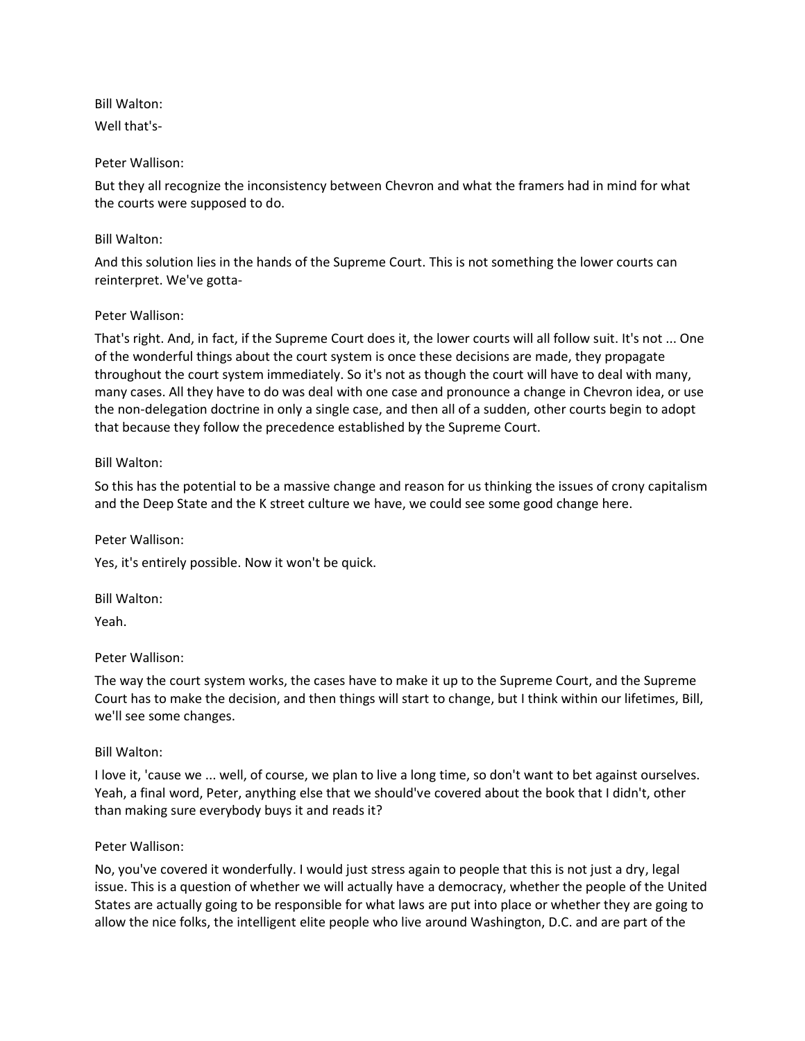Bill Walton:

Well that's-

## Peter Wallison:

But they all recognize the inconsistency between Chevron and what the framers had in mind for what the courts were supposed to do.

### Bill Walton:

And this solution lies in the hands of the Supreme Court. This is not something the lower courts can reinterpret. We've gotta-

## Peter Wallison:

That's right. And, in fact, if the Supreme Court does it, the lower courts will all follow suit. It's not ... One of the wonderful things about the court system is once these decisions are made, they propagate throughout the court system immediately. So it's not as though the court will have to deal with many, many cases. All they have to do was deal with one case and pronounce a change in Chevron idea, or use the non-delegation doctrine in only a single case, and then all of a sudden, other courts begin to adopt that because they follow the precedence established by the Supreme Court.

## Bill Walton:

So this has the potential to be a massive change and reason for us thinking the issues of crony capitalism and the Deep State and the K street culture we have, we could see some good change here.

# Peter Wallison:

Yes, it's entirely possible. Now it won't be quick.

Bill Walton:

Yeah.

# Peter Wallison:

The way the court system works, the cases have to make it up to the Supreme Court, and the Supreme Court has to make the decision, and then things will start to change, but I think within our lifetimes, Bill, we'll see some changes.

### Bill Walton:

I love it, 'cause we ... well, of course, we plan to live a long time, so don't want to bet against ourselves. Yeah, a final word, Peter, anything else that we should've covered about the book that I didn't, other than making sure everybody buys it and reads it?

### Peter Wallison:

No, you've covered it wonderfully. I would just stress again to people that this is not just a dry, legal issue. This is a question of whether we will actually have a democracy, whether the people of the United States are actually going to be responsible for what laws are put into place or whether they are going to allow the nice folks, the intelligent elite people who live around Washington, D.C. and are part of the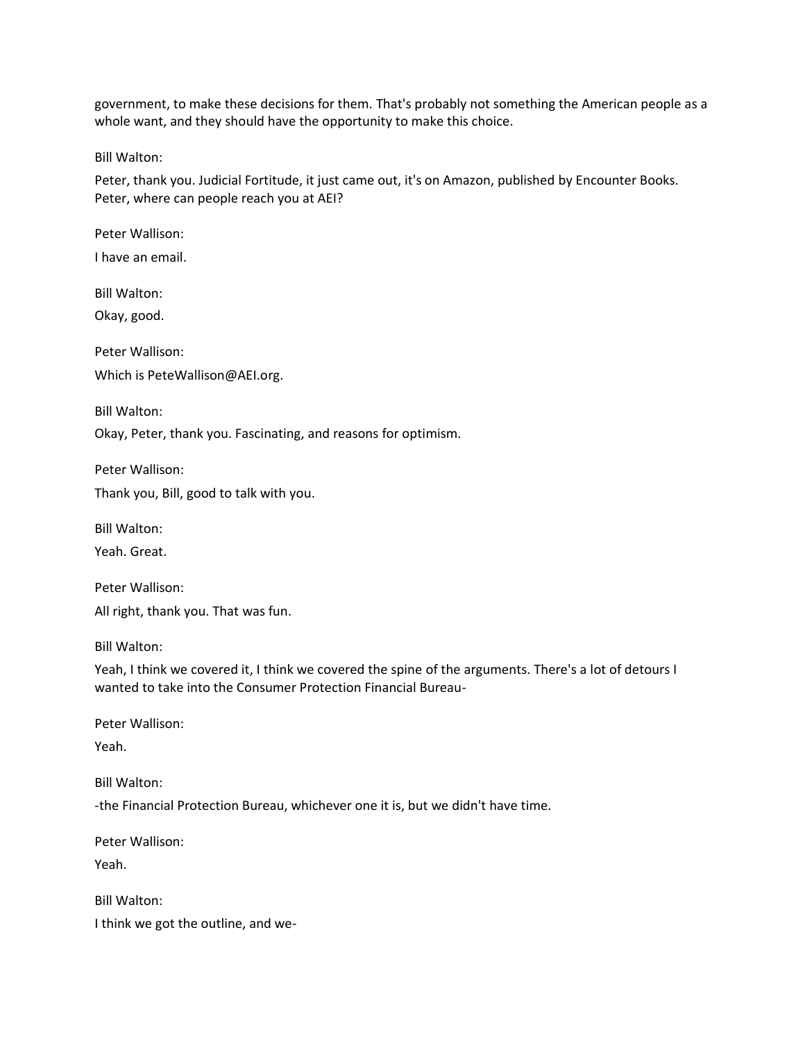government, to make these decisions for them. That's probably not something the American people as a whole want, and they should have the opportunity to make this choice.

Bill Walton:

Peter, thank you. Judicial Fortitude, it just came out, it's on Amazon, published by Encounter Books. Peter, where can people reach you at AEI?

Peter Wallison:

I have an email.

Bill Walton:

Okay, good.

Peter Wallison: Which is PeteWallison@AEI.org.

Bill Walton:

Okay, Peter, thank you. Fascinating, and reasons for optimism.

Peter Wallison:

Thank you, Bill, good to talk with you.

Bill Walton:

Yeah. Great.

Peter Wallison: All right, thank you. That was fun.

Bill Walton:

Yeah, I think we covered it, I think we covered the spine of the arguments. There's a lot of detours I wanted to take into the Consumer Protection Financial Bureau-

Peter Wallison:

Yeah.

Bill Walton:

-the Financial Protection Bureau, whichever one it is, but we didn't have time.

Peter Wallison:

Yeah.

Bill Walton: I think we got the outline, and we